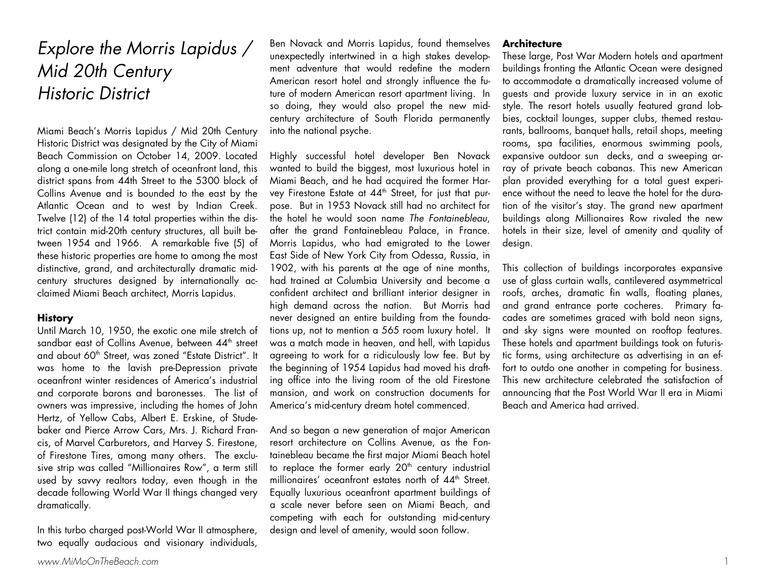# Explore the Morris Lapidus / Mid 20th Century Historic District

Miami Beach's Morris Lapidus / Mid 20th Century Historic District was designated by the City of Miami Beach Commission on October 14, 2009. Located along a one-mile long stretch of oceanfront land, this district spans from 44th Street to the 5300 block of Collins Avenue and is bounded to the east by the Atlantic Ocean and to west by Indian Creek. Twelve (12) of the 14 total properties within the district contain mid-20th century structures, all built between 1954 and 1966. A remarkable five (5) of these historic properties are home to among the most distinctive, grand, and architecturally dramatic midcentury structures designed by internationally acclaimed Miami Beach architect, Morris Lapidus.

### **History**

Until March 10, 1950, the exotic one mile stretch of sandbar east of Collins Avenue, between 44<sup>th</sup> street and about 60<sup>th</sup> Street, was zoned "Estate District". It was home to the lavish pre-Depression private oceanfront winter residences of America's industrial and corporate barons and baronesses. The list of owners was impressive, including the homes of John Hertz, of Yellow Cabs, Albert E. Erskine, of Studebaker and Pierce Arrow Cars, Mrs. J. Richard Francis, of Marvel Carburetors, and Harvey S. Firestone, of Firestone Tires, among many others. The exclusive strip was called "Millionaires Row", a term still used by savvy realtors today, even though in the decade following World War II things changed very dramatically.

In this turbo charged post-World War II atmosphere, two equally audacious and visionary individuals,

Ben Novack and Morris Lapidus, found themselves unexpectedly intertwined in a high stakes development adventure that would redefine the modern American resort hotel and strongly influence the future of modern American resort apartment living. In so doing, they would also propel the new midcentury architecture of South Florida permanently into the national psyche.

Highly successful hotel developer Ben Novack wanted to build the biggest, most luxurious hotel in Miami Beach, and he had acquired the former Harvey Firestone Estate at 44<sup>th</sup> Street, for just that purpose. But in 1953 Novack still had no architect for the hotel he would soon name The Fontainebleau, after the grand Fontainebleau Palace, in France. Morris Lapidus, who had emigrated to the Lower East Side of New York City from Odessa, Russia, in 1902, with his parents at the age of nine months, had trained at Columbia University and become a confident architect and brilliant interior designer in high demand across the nation. But Morris had never designed an entire building from the foundations up, not to mention a 565 room luxury hotel. It was a match made in heaven, and hell, with Lapidus agreeing to work for a ridiculously low fee. But by the beginning of 1954 Lapidus had moved his drafting office into the living room of the old Firestone mansion, and work on construction documents for America's mid-century dream hotel commenced.

And so began a new generation of major American resort architecture on Collins Avenue, as the Fontainebleau became the first major Miami Beach hotel to replace the former early  $20<sup>th</sup>$  century industrial millionaires' oceanfront estates north of 44<sup>th</sup> Street. Equally luxurious oceanfront apartment buildings of a scale never before seen on Miami Beach, and competing with each for outstanding mid-century design and level of amenity, would soon follow.

### **Architecture**

These large, Post War Modern hotels and apartment buildings fronting the Atlantic Ocean were designed to accommodate a dramatically increased volume of guests and provide luxury service in in an exotic style. The resort hotels usually featured grand lobbies, cocktail lounges, supper clubs, themed restaurants, ballrooms, banquet halls, retail shops, meeting rooms, spa facilities, enormous swimming pools, expansive outdoor sun decks, and a sweeping array of private beach cabanas. This new American plan provided everything for a total guest experience without the need to leave the hotel for the duration of the visitor's stay. The grand new apartment buildings along Millionaires Row rivaled the new hotels in their size, level of amenity and quality of design.

This collection of buildings incorporates expansive use of glass curtain walls, cantilevered asymmetrical roofs, arches, dramatic fin walls, floating planes, and grand entrance porte cocheres. Primary facades are sometimes graced with bold neon signs, and sky signs were mounted on rooftop features. These hotels and apartment buildings took on futuristic forms, using architecture as advertising in an effort to outdo one another in competing for business. This new architecture celebrated the satisfaction of announcing that the Post World War II era in Miami Beach and America had arrived.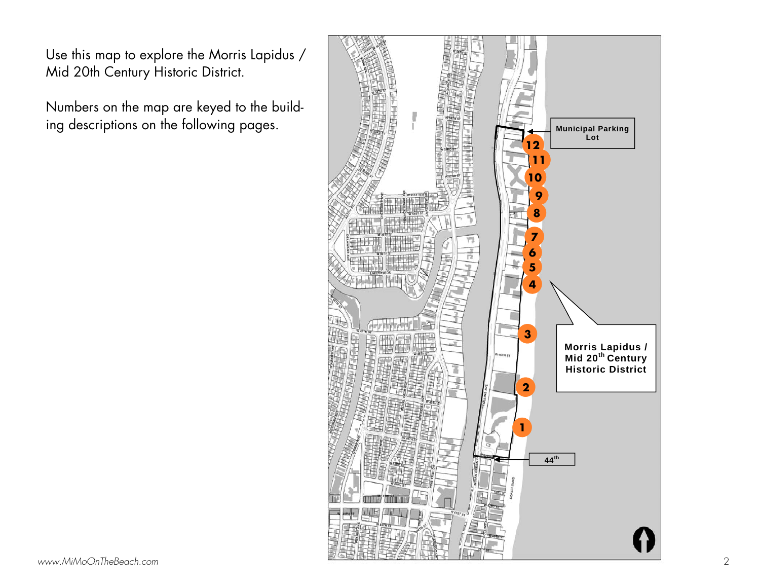Use this map to explore the Morris Lapidus / Mid 20th Century Historic District.

Numbers on the map are keyed to the building descriptions on the following pages.

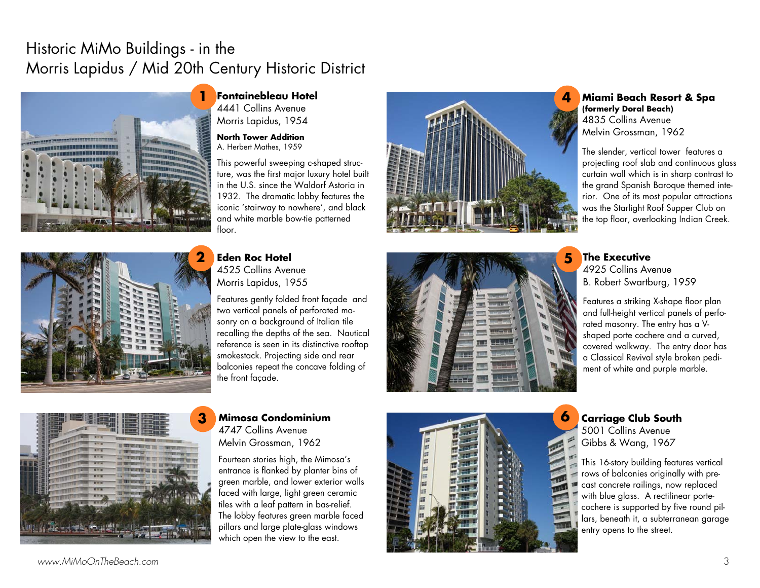# Historic MiMo Buildings - in the Morris Lapidus / Mid 20th Century Historic District



4441 Collins Avenue Morris Lapidus, 1954

**North Tower Addition** A. Herbert Mathes, 1959

This powerful sweeping c-shaped structure, was the first major luxury hotel built in the U.S. since the Waldorf Astoria in 1932. The dramatic lobby features the iconic 'stairway to nowhere', and black and white marble bow-tie patterned floor.



**Eden Roc Hotel** 4525 Collins Avenue Morris Lapidus, 1955

Features gently folded front façade and two vertical panels of perforated masonry on a background of Italian tile recalling the depths of the sea. Nautical reference is seen in its distinctive rooftop smokestack. Projecting side and rear balconies repeat the concave folding of the front façade.

### **3 Mimosa Condominium** 4747 Collins Avenue Melvin Grossman, 1962

Fourteen stories high, the Mimosa's entrance is flanked by planter bins of green marble, and lower exterior walls faced with large, light green ceramic tiles with a leaf pattern in bas-relief. The lobby features green marble faced <sup>p</sup>illars and large plate-glass windows which open the view to the east.







# **Miami Beach Resort & Spa (formerly Doral Beach)**  4835 Collins Avenue Melvin Grossman, 1962

The slender, vertical tower features a projecting roof slab and continuous glass curtain wall which is in sharp contrast to the grand Spanish Baroque themed interior. One of its most popular attractions was the Starlight Roof Supper Club on the top floor, overlooking Indian Creek.

# **The Executive**

4925 Collins Avenue B. Robert Swartburg, 1959

Features a striking X-shape floor plan and full-height vertical panels of perforated masonry. The entry has a Vshaped porte cochere and a curved, covered walkway. The entry door has a Classical Revival style broken pediment of white and purple marble.

**Carriage Club South**  5001 Collins Avenue Gibbs & Wang, 1967

This 16-story building features vertical rows of balconies originally with precast concrete railings, now replaced with blue glass. A rectilinear portecochere is supported by five round pillars, beneath it, a subterranean garage entry opens to the street.